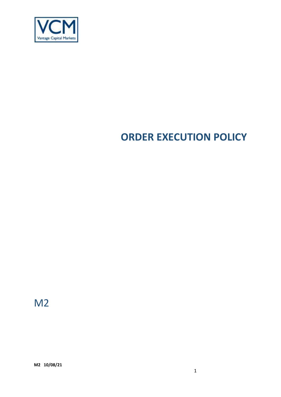

# **ORDER EXECUTION POLICY**

M2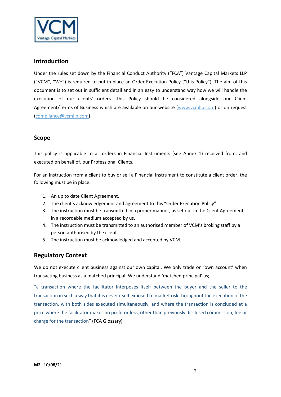

# **Introduction**

Under the rules set down by the Financial Conduct Authority ("FCA") Vantage Capital Markets LLP ("VCM", "We") is required to put in place an Order Execution Policy ("this Policy"). The aim of this document is to set out in sufficient detail and in an easy to understand way how we will handle the execution of our clients' orders. This Policy should be considered alongside our Client Agreement/Terms of Business which are available on our website [\(www.vcmllp.com\)](http://www.vcmllp.com/) or on request (compliance@vcmllp.com).

# **Scope**

This policy is applicable to all orders in Financial Instruments (see Annex 1) received from, and executed on behalf of, our Professional Clients.

For an instruction from a client to buy or sell a Financial Instrument to constitute a client order, the following must be in place:

- 1. An up to date Client Agreement.
- 2. The client's acknowledgement and agreement to this "Order Execution Policy".
- 3. The instruction must be transmitted in a proper manner, as set out in the Client Agreement, in a recordable medium accepted by us.
- 4. The instruction must be transmitted to an authorised member of VCM's broking staff by a person authorised by the client.
- 5. The instruction must be acknowledged and accepted by VCM.

# **Regulatory Context**

We do not execute client business against our own capital. We only trade on 'own account' when transacting business as a matched principal. We understand 'matched principal' as;

"a transaction where the facilitator interposes itself between the buyer and the seller to the transaction in such a way that it is never itself exposed to market risk throughout the execution of the transaction, with both sides executed simultaneously, and where the transaction is concluded at a price where the facilitator makes no profit or loss, other than previously disclosed commission, fee or charge for the transaction" (FCA Glossary)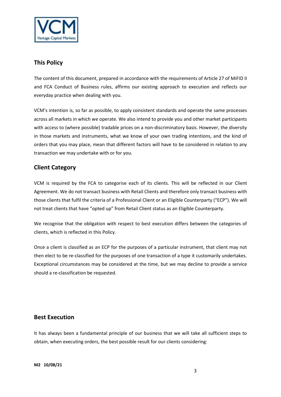

# **This Policy**

The content of this document, prepared in accordance with the requirements of Article 27 of MiFID II and FCA Conduct of Business rules, affirms our existing approach to execution and reflects our everyday practice when dealing with you.

VCM's intention is, so far as possible, to apply consistent standards and operate the same processes across all markets in which we operate. We also intend to provide you and other market participants with access to (where possible) tradable prices on a non-discriminatory basis. However, the diversity in those markets and instruments, what we know of your own trading intentions, and the kind of orders that you may place, mean that different factors will have to be considered in relation to any transaction we may undertake with or for you.

# **Client Category**

VCM is required by the FCA to categorise each of its clients. This will be reflected in our Client Agreement. We do not transact business with Retail Clients and therefore only transact business with those clients that fulfil the criteria of a Professional Client or an Eligible Counterparty ("ECP"). We will not treat clients that have "opted up" from Retail Client status as an Eligible Counterparty.

We recognise that the obligation with respect to best execution differs between the categories of clients, which is reflected in this Policy.

Once a client is classified as an ECP for the purposes of a particular instrument, that client may not then elect to be re-classified for the purposes of one transaction of a type it customarily undertakes. Exceptional circumstances may be considered at the time, but we may decline to provide a service should a re-classification be requested.

## **Best Execution**

It has always been a fundamental principle of our business that we will take all sufficient steps to obtain, when executing orders, the best possible result for our clients considering: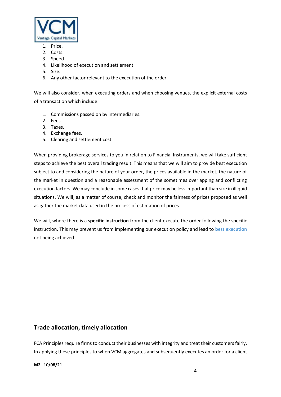

- 1. Price.
- 2. Costs.
- 3. Speed.
- 4. Likelihood of execution and settlement.
- 5. Size.
- 6. Any other factor relevant to the execution of the order.

We will also consider, when executing orders and when choosing venues, the explicit external costs of a transaction which include:

- 1. Commissions passed on by intermediaries.
- 2. Fees.
- 3. Taxes.
- 4. Exchange fees.
- 5. Clearing and settlement cost.

When providing brokerage services to you in relation to Financial Instruments, we will take sufficient steps to achieve the best overall trading result. This means that we will aim to provide best execution subject to and considering the nature of your order, the prices available in the market, the nature of the market in question and a reasonable assessment of the sometimes overlapping and conflicting execution factors. We may conclude in some cases that price may be less important than size in illiquid situations. We will, as a matter of course, check and monitor the fairness of prices proposed as well as gather the market data used in the process of estimation of prices.

We will, where there is a **specific instruction** from the client execute the order following the specific instruction. This may prevent us from implementing our execution policy and lead to **best execution** not being achieved.

## **Trade allocation, timely allocation**

FCA Principles require firms to conduct their businesses with integrity and treat their customers fairly. In applying these principles to when VCM aggregates and subsequently executes an order for a client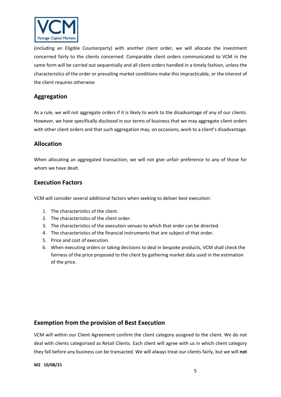

(including an Eligible Counterparty) with another client order, we will allocate the investment concerned fairly to the clients concerned. Comparable client orders communicated to VCM in the same form will be carried out sequentially and all client orders handled in a timely fashion, unless the characteristics of the order or prevailing market conditions make this impracticable, or the interest of the client requires otherwise

# **Aggregation**

As a rule, we will not aggregate orders if it is likely to work to the disadvantage of any of our clients. However, we have specifically disclosed in our terms of business that we may aggregate client orders with other client orders and that such aggregation may, on occasions, work to a client's disadvantage.

# **Allocation**

When allocating an aggregated transaction, we will not give unfair preference to any of those for whom we have dealt.

# **Execution Factors**

VCM will consider several additional factors when seeking to deliver best execution:

- 1. The characteristics of the client.
- 2. The characteristics of the client order.
- 3. The characteristics of the execution venues to which that order can be directed.
- 4. The characteristics of the financial instruments that are subject of that order.
- 5. Price and cost of execution.
- 6. When executing orders or taking decisions to deal in bespoke products, VCM shall check the fairness of the price proposed to the client by gathering market data used in the estimation of the price.

## **Exemption from the provision of Best Execution**

VCM will within our Client Agreement confirm the client category assigned to the client. We do not deal with clients categorised as Retail Clients. Each client will agree with us in which client category they fall before any business can be transacted. We will always treat our clients fairly, but we will **not**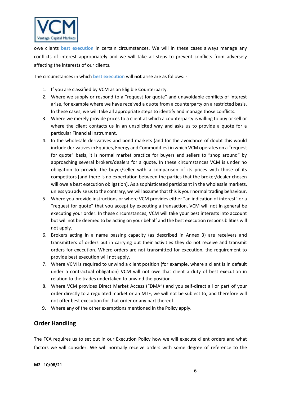

owe clients **best execution** in certain circumstances. We will in these cases always manage any conflicts of interest appropriately and we will take all steps to prevent conflicts from adversely affecting the interests of our clients.

The circumstances in which **best execution** will **not** arise are as follows: -

- 1. If you are classified by VCM as an Eligible Counterparty.
- 2. Where we supply or respond to a "request for quote" and unavoidable conflicts of interest arise, for example where we have received a quote from a counterparty on a restricted basis. In these cases, we will take all appropriate steps to identify and manage those conflicts.
- 3. Where we merely provide prices to a client at which a counterparty is willing to buy or sell or where the client contacts us in an unsolicited way and asks us to provide a quote for a particular Financial Instrument.
- 4. In the wholesale derivatives and bond markets (and for the avoidance of doubt this would include derivatives in Equities, Energy and Commodities) in which VCM operates on a "request for quote" basis, it is normal market practice for buyers and sellers to "shop around" by approaching several brokers/dealers for a quote. In these circumstances VCM is under no obligation to provide the buyer/seller with a comparison of its prices with those of its competitors [and there is no expectation between the parties that the broker/dealer chosen will owe a best execution obligation]. As a sophisticated participant in the wholesale markets, unless you advise us to the contrary, we will assume that this is your normal trading behaviour.
- 5. Where you provide instructions or where VCM provides either "an indication of interest" or a "request for quote" that you accept by executing a transaction, VCM will not in general be executing your order. In these circumstances, VCM will take your best interests into account but will not be deemed to be acting on your behalf and the best execution responsibilities will not apply.
- 6. Brokers acting in a name passing capacity (as described in Annex 3) are receivers and transmitters of orders but in carrying out their activities they do not receive and transmit orders for execution. Where orders are not transmitted for execution, the requirement to provide best execution will not apply.
- 7. Where VCM is required to unwind a client position (for example, where a client is in default under a contractual obligation) VCM will not owe that client a duty of best execution in relation to the trades undertaken to unwind the position.
- 8. Where VCM provides Direct Market Access ("DMA") and you self-direct all or part of your order directly to a regulated market or an MTF, we will not be subject to, and therefore will not offer best execution for that order or any part thereof.
- 9. Where any of the other exemptions mentioned in the Policy apply.

# **Order Handling**

The FCA requires us to set out in our Execution Policy how we will execute client orders and what factors we will consider. We will normally receive orders with some degree of reference to the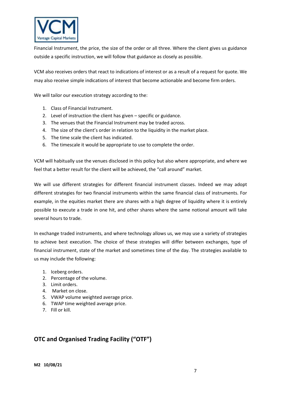

Financial Instrument, the price, the size of the order or all three. Where the client gives us guidance outside a specific instruction, we will follow that guidance as closely as possible.

VCM also receives orders that react to indications of interest or as a result of a request for quote. We may also receive simple indications of interest that become actionable and become firm orders.

We will tailor our execution strategy according to the:

- 1. Class of Financial Instrument.
- 2. Level of instruction the client has given specific or guidance.
- 3. The venues that the Financial Instrument may be traded across.
- 4. The size of the client's order in relation to the liquidity in the market place.
- 5. The time scale the client has indicated.
- 6. The timescale it would be appropriate to use to complete the order.

VCM will habitually use the venues disclosed in this policy but also where appropriate, and where we feel that a better result for the client will be achieved, the "call around" market.

We will use different strategies for different financial instrument classes. Indeed we may adopt different strategies for two financial instruments within the same financial class of instruments. For example, in the equities market there are shares with a high degree of liquidity where it is entirely possible to execute a trade in one hit, and other shares where the same notional amount will take several hours to trade.

In exchange traded instruments, and where technology allows us, we may use a variety of strategies to achieve best execution. The choice of these strategies will differ between exchanges, type of financial instrument, state of the market and sometimes time of the day. The strategies available to us may include the following:

- 1. Iceberg orders.
- 2. Percentage of the volume.
- 3. Limit orders.
- 4. Market on close.
- 5. VWAP volume weighted average price.
- 6. TWAP time weighted average price.
- 7. Fill or kill.

# **OTC and Organised Trading Facility ("OTF")**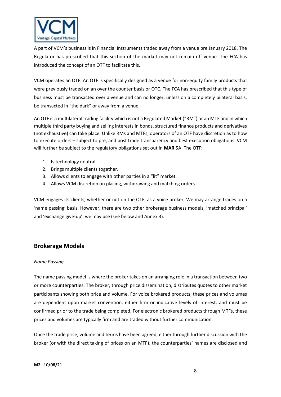

A part of VCM's business is in Financial Instruments traded away from a venue pre January 2018. The Regulator has prescribed that this section of the market may not remain off venue. The FCA has introduced the concept of an OTF to facilitate this.

VCM operates an OTF. An OTF is specifically designed as a venue for non-equity family products that were previously traded on an over the counter basis or OTC. The FCA has prescribed that this type of business must be transacted over a venue and can no longer, unless on a completely bilateral basis, be transacted in "the dark" or away from a venue.

An OTF is a multilateral trading facility which is not a Regulated Market ("RM") or an MTF and in which multiple third party buying and selling interests in bonds, structured finance products and derivatives (not exhaustive) can take place. Unlike RMs and MTFs, operators of an OTF have discretion as to how to execute orders – subject to pre, and post trade transparency and best execution obligations. VCM will further be subject to the regulatory obligations set out in **MAR** 5A. The OTF:

- 1. Is technology neutral.
- 2. Brings multiple clients together.
- 3. Allows clients to engage with other parties in a "lit" market.
- 4. Allows VCM discretion on placing, withdrawing and matching orders.

VCM engages its clients, whether or not on the OTF, as a voice broker. We may arrange trades on a 'name passing' basis. However, there are two other brokerage business models, 'matched principal' and 'exchange give-up', we may use (see below and Annex 3).

# **Brokerage Models**

#### *Name Passing*

The name passing model is where the broker takes on an arranging role in a transaction between two or more counterparties. The broker, through price dissemination, distributes quotes to other market participants showing both price and volume. For voice brokered products, these prices and volumes are dependent upon market convention, either firm or indicative levels of interest, and must be confirmed prior to the trade being completed. For electronic brokered products through MTFs, these prices and volumes are typically firm and are traded without further communication.

Once the trade price, volume and terms have been agreed, either through further discussion with the broker (or with the direct taking of prices on an MTF), the counterparties' names are disclosed and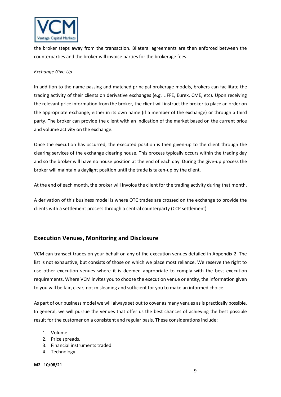

the broker steps away from the transaction. Bilateral agreements are then enforced between the counterparties and the broker will invoice parties for the brokerage fees.

### *Exchange Give-Up*

In addition to the name passing and matched principal brokerage models, brokers can facilitate the trading activity of their clients on derivative exchanges (e.g. LiFFE, Eurex, CME, etc). Upon receiving the relevant price information from the broker, the client will instruct the broker to place an order on the appropriate exchange, either in its own name (if a member of the exchange) or through a third party. The broker can provide the client with an indication of the market based on the current price and volume activity on the exchange.

Once the execution has occurred, the executed position is then given-up to the client through the clearing services of the exchange clearing house. This process typically occurs within the trading day and so the broker will have no house position at the end of each day. During the give-up process the broker will maintain a daylight position until the trade is taken-up by the client.

At the end of each month, the broker will invoice the client for the trading activity during that month.

A derivation of this business model is where OTC trades are crossed on the exchange to provide the clients with a settlement process through a central counterparty (CCP settlement)

# **Execution Venues, Monitoring and Disclosure**

VCM can transact trades on your behalf on any of the execution venues detailed in Appendix 2. The list is not exhaustive, but consists of those on which we place most reliance. We reserve the right to use other execution venues where it is deemed appropriate to comply with the best execution requirements. Where VCM invites you to choose the execution venue or entity, the information given to you will be fair, clear, not misleading and sufficient for you to make an informed choice.

As part of our business model we will always set out to cover as many venues as is practically possible. In general, we will pursue the venues that offer us the best chances of achieving the best possible result for the customer on a consistent and regular basis. These considerations include:

- 1. Volume.
- 2. Price spreads.
- 3. Financial instruments traded.
- 4. Technology.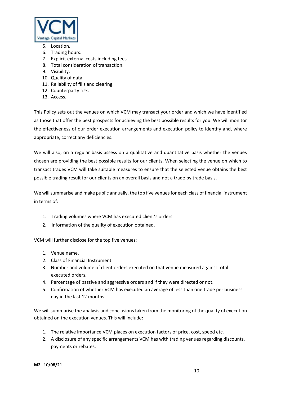

- 5. Location.
- 6. Trading hours.
- 7. Explicit external costs including fees.
- 8. Total consideration of transaction.
- 9. Visibility.
- 10. Quality of data.
- 11. Reliability of fills and clearing.
- 12. Counterparty risk.
- 13. Access.

This Policy sets out the venues on which VCM may transact your order and which we have identified as those that offer the best prospects for achieving the best possible results for you. We will monitor the effectiveness of our order execution arrangements and execution policy to identify and, where appropriate, correct any deficiencies.

We will also, on a regular basis assess on a qualitative and quantitative basis whether the venues chosen are providing the best possible results for our clients. When selecting the venue on which to transact trades VCM will take suitable measures to ensure that the selected venue obtains the best possible trading result for our clients on an overall basis and not a trade by trade basis.

We will summarise and make public annually, the top five venues for each class of financial instrument in terms of:

- 1. Trading volumes where VCM has executed client's orders.
- 2. Information of the quality of execution obtained.

VCM will further disclose for the top five venues:

- 1. Venue name.
- 2. Class of Financial Instrument.
- 3. Number and volume of client orders executed on that venue measured against total executed orders.
- 4. Percentage of passive and aggressive orders and if they were directed or not.
- 5. Confirmation of whether VCM has executed an average of less than one trade per business day in the last 12 months.

We will summarise the analysis and conclusions taken from the monitoring of the quality of execution obtained on the execution venues. This will include:

- 1. The relative importance VCM places on execution factors of price, cost, speed etc.
- 2. A disclosure of any specific arrangements VCM has with trading venues regarding discounts, payments or rebates.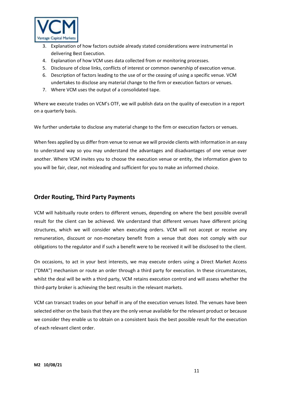

- 3. Explanation of how factors outside already stated considerations were instrumental in delivering Best Execution.
- 4. Explanation of how VCM uses data collected from or monitoring processes.
- 5. Disclosure of close links, conflicts of interest or common ownership of execution venue.
- 6. Description of factors leading to the use of or the ceasing of using a specific venue. VCM undertakes to disclose any material change to the firm or execution factors or venues.
- 7. Where VCM uses the output of a consolidated tape.

Where we execute trades on VCM's OTF, we will publish data on the quality of execution in a report on a quarterly basis.

We further undertake to disclose any material change to the firm or execution factors or venues.

When fees applied by us differ from venue to venue we will provide clients with information in an easy to understand way so you may understand the advantages and disadvantages of one venue over another. Where VCM invites you to choose the execution venue or entity, the information given to you will be fair, clear, not misleading and sufficient for you to make an informed choice.

# **Order Routing, Third Party Payments**

VCM will habitually route orders to different venues, depending on where the best possible overall result for the client can be achieved. We understand that different venues have different pricing structures, which we will consider when executing orders. VCM will not accept or receive any remuneration, discount or non-monetary benefit from a venue that does not comply with our obligations to the regulator and if such a benefit were to be received it will be disclosed to the client.

On occasions, to act in your best interests, we may execute orders using a Direct Market Access ("DMA") mechanism or route an order through a third party for execution. In these circumstances, whilst the deal will be with a third party, VCM retains execution control and will assess whether the third-party broker is achieving the best results in the relevant markets.

VCM can transact trades on your behalf in any of the execution venues listed. The venues have been selected either on the basis that they are the only venue available for the relevant product or because we consider they enable us to obtain on a consistent basis the best possible result for the execution of each relevant client order.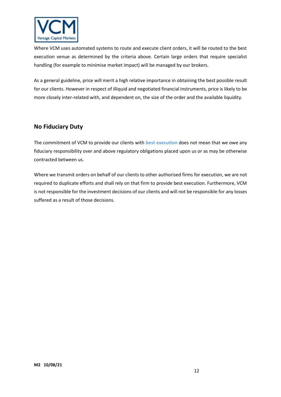

Where VCM uses automated systems to route and execute client orders, it will be routed to the best execution venue as determined by the criteria above. Certain large orders that require specialist handling (for example to minimise market impact) will be managed by our brokers.

As a general guideline, price will merit a high relative importance in obtaining the best possible result for our clients. However in respect of illiquid and negotiated financial instruments, price is likely to be more closely inter-related with, and dependent on, the size of the order and the available liquidity.

# **No Fiduciary Duty**

The commitment of VCM to provide our clients with **best execution** does not mean that we owe any fiduciary responsibility over and above regulatory obligations placed upon us or as may be otherwise contracted between us.

Where we transmit orders on behalf of our clients to other authorised firms for execution, we are not required to duplicate efforts and shall rely on that firm to provide best execution. Furthermore, VCM is not responsible for the investment decisions of our clients and will not be responsible for any losses suffered as a result of those decisions.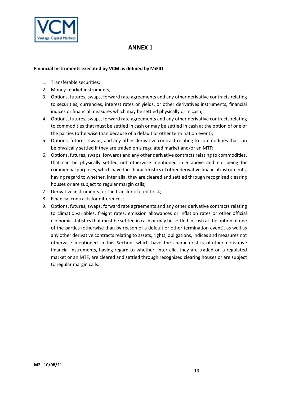

# **ANNEX 1**

#### **Financial Instruments executed by VCM as defined by MiFID**

- 1. Transferable securities;
- 2. Money-market instruments;
- 3. Options, futures, swaps, forward rate agreements and any other derivative contracts relating to securities, currencies, interest rates or yields, or other derivatives instruments, financial indices or financial measures which may be settled physically or in cash;
- 4. Options, futures, swaps, forward rate agreements and any other derivative contracts relating to commodities that must be settled in cash or may be settled in cash at the option of one of the parties (otherwise than because of a default or other termination event);
- 5. Options, futures, swaps, and any other derivative contract relating to commodities that can be physically settled if they are traded on a regulated market and/or an MTF;
- 6. Options, futures, swaps, forwards and any other derivative contracts relating to commodities, that can be physically settled not otherwise mentioned in 5 above and not being for commercial purposes, which have the characteristics of other derivative financial instruments, having regard to whether, inter alia, they are cleared and settled through recognised clearing houses or are subject to regular margin calls;
- 7. Derivative instruments for the transfer of credit risk;
- 8. Financial contracts for differences;
- 9. Options, futures, swaps, forward rate agreements and any other derivative contracts relating to climatic variables, freight rates, emission allowances or inflation rates or other official economic statistics that must be settled in cash or may be settled in cash at the option of one of the parties (otherwise than by reason of a default or other termination event), as well as any other derivative contracts relating to assets, rights, obligations, indices and measures not otherwise mentioned in this Section, which have the characteristics of other derivative financial instruments, having regard to whether, inter alia, they are traded on a regulated market or an MTF, are cleared and settled through recognised clearing houses or are subject to regular margin calls.